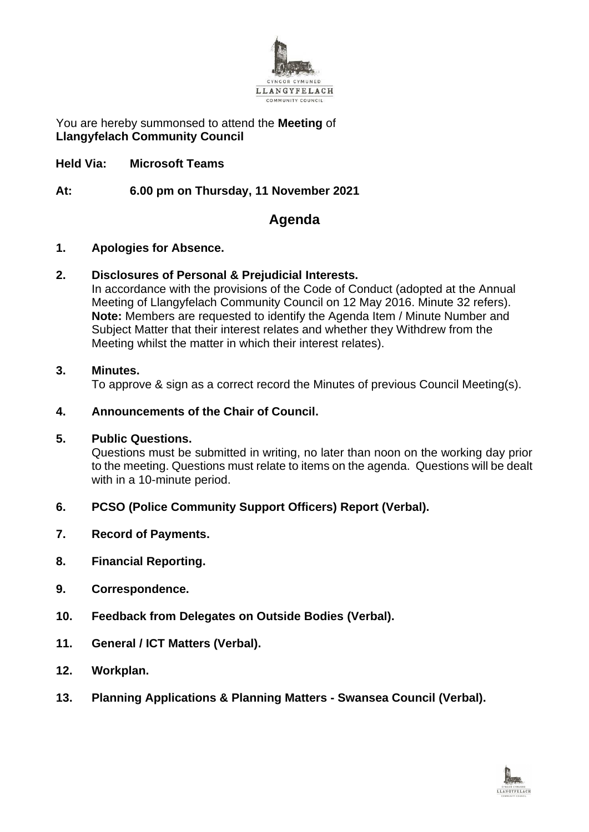

You are hereby summonsed to attend the **Meeting** of **Llangyfelach Community Council**

**Held Via: Microsoft Teams**

**At: 6.00 pm on Thursday, 11 November 2021**

# **Agenda**

## **1. Apologies for Absence.**

## **2. Disclosures of Personal & Prejudicial Interests.**

In accordance with the provisions of the Code of Conduct (adopted at the Annual Meeting of Llangyfelach Community Council on 12 May 2016. Minute 32 refers). **Note:** Members are requested to identify the Agenda Item / Minute Number and Subject Matter that their interest relates and whether they Withdrew from the Meeting whilst the matter in which their interest relates).

## **3. Minutes.**

To approve & sign as a correct record the Minutes of previous Council Meeting(s).

# **4. Announcements of the Chair of Council.**

#### **5. Public Questions.**

Questions must be submitted in writing, no later than noon on the working day prior to the meeting. Questions must relate to items on the agenda. Questions will be dealt with in a 10-minute period.

# **6. PCSO (Police Community Support Officers) Report (Verbal).**

- **7. Record of Payments.**
- **8. Financial Reporting.**
- **9. Correspondence.**
- **10. Feedback from Delegates on Outside Bodies (Verbal).**
- **11. General / ICT Matters (Verbal).**
- **12. Workplan.**
- **13. Planning Applications & Planning Matters - Swansea Council (Verbal).**